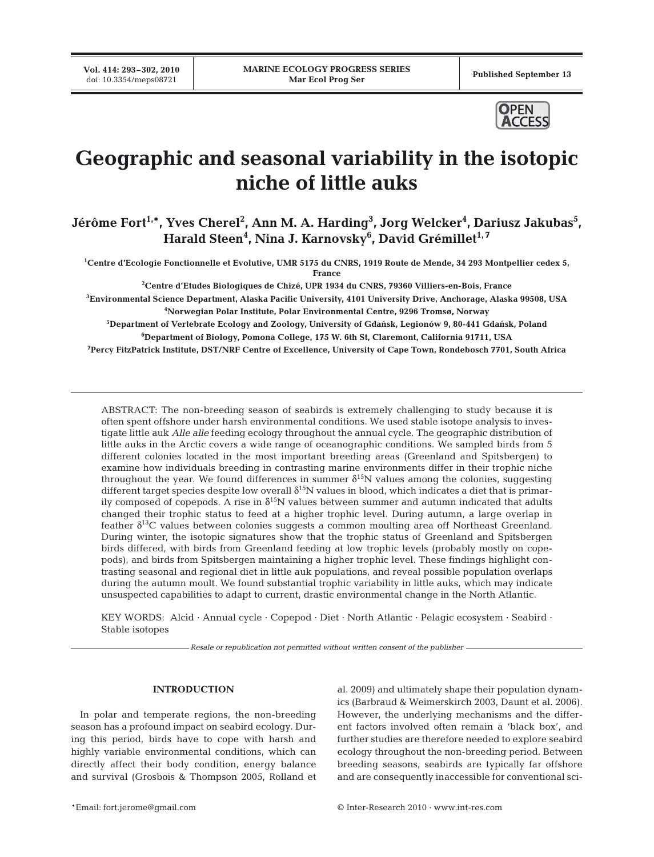**Vol. 414: 293–302, 2010**



# **Geographic and seasonal variability in the isotopic niche of little auks**

Jérôme Fort<sup>1,</sup>\*, Yves Cherel<sup>2</sup>, Ann M. A. Harding<sup>3</sup>, Jorg Welcker<sup>4</sup>, Dariusz Jakubas<sup>5</sup>, **Harald Steen4 , Nina J. Karnovsky6 , David Grémillet1, 7**

**1 Centre d'Ecologie Fonctionnelle et Evolutive, UMR 5175 du CNRS, 1919 Route de Mende, 34 293 Montpellier cedex 5, France**

 **Centre d'Etudes Biologiques de Chizé, UPR 1934 du CNRS, 79360 Villiers-en-Bois, France Environmental Science Department, Alaska Pacific University, 4101 University Drive, Anchorage, Alaska 99508, USA Norwegian Polar Institute, Polar Environmental Centre, 9296 Tromsø, Norway**  $^5$ Department of Vertebrate Ecology and Zoology, University of Gdańsk, Legionów 9, 80-441 Gdańsk, Poland **Department of Biology, Pomona College, 175 W. 6th St, Claremont, California 91711, USA**

**7 Percy FitzPatrick Institute, DST/NRF Centre of Excellence, University of Cape Town, Rondebosch 7701, South Africa**

ABSTRACT: The non-breeding season of seabirds is extremely challenging to study because it is often spent offshore under harsh environmental conditions. We used stable isotope analysis to investigate little auk *Alle alle* feeding ecology throughout the annual cycle. The geographic distribution of little auks in the Arctic covers a wide range of oceanographic conditions. We sampled birds from 5 different colonies located in the most important breeding areas (Greenland and Spitsbergen) to examine how individuals breeding in contrasting marine environments differ in their trophic niche throughout the year. We found differences in summer  $\delta^{15}N$  values among the colonies, suggesting different target species despite low overall  $\delta^{15}N$  values in blood, which indicates a diet that is primarily composed of copepods. A rise in  $\delta^{15}N$  values between summer and autumn indicated that adults changed their trophic status to feed at a higher trophic level. During autumn, a large overlap in feather  $\delta^{13}$ C values between colonies suggests a common moulting area off Northeast Greenland. During winter, the isotopic signatures show that the trophic status of Greenland and Spitsbergen birds differed, with birds from Greenland feeding at low trophic levels (probably mostly on copepods), and birds from Spitsbergen maintaining a higher trophic level. These findings highlight contrasting seasonal and regional diet in little auk populations, and reveal possible population overlaps during the autumn moult. We found substantial trophic variability in little auks, which may indicate unsuspected capabilities to adapt to current, drastic environmental change in the North Atlantic.

KEY WORDS: Alcid · Annual cycle · Copepod · Diet · North Atlantic · Pelagic ecosystem · Seabird · Stable isotopes

*Resale or republication not permitted without written consent of the publisher*

# **INTRODUCTION**

In polar and temperate regions, the non-breeding season has a profound impact on seabird ecology. During this period, birds have to cope with harsh and highly variable environmental conditions, which can directly affect their body condition, energy balance and survival (Grosbois & Thompson 2005, Rolland et al. 2009) and ultimately shape their population dynamics (Barbraud & Weimerskirch 2003, Daunt et al. 2006). However, the underlying mechanisms and the different factors involved often remain a 'black box', and further studies are therefore needed to explore seabird ecology throughout the non-breeding period. Between breeding seasons, seabirds are typically far offshore and are consequently inaccessible for conventional sci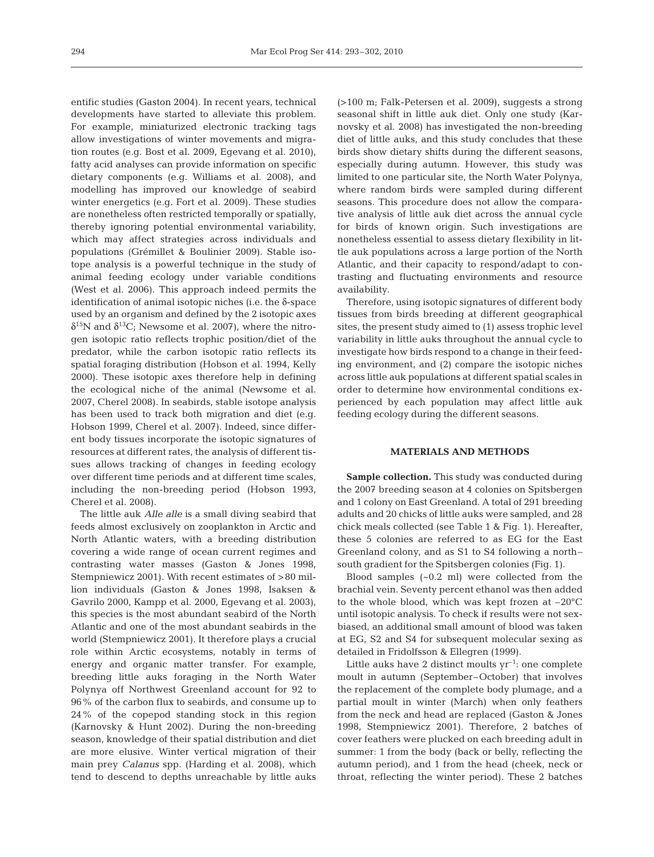entific studies (Gaston 2004). In recent years, technical developments have started to alleviate this problem. For example, miniaturized electronic tracking tags allow investigations of winter movements and migration routes (e.g. Bost et al. 2009, Egevang et al. 2010), fatty acid analyses can provide information on specific dietary components (e.g. Williams et al. 2008), and modelling has improved our knowledge of seabird winter energetics (e.g. Fort et al. 2009). These studies are nonetheless often restricted temporally or spatially, thereby ignoring potential environmental variability, which may affect strategies across individuals and populations (Grémillet & Boulinier 2009). Stable isotope analysis is a powerful technique in the study of animal feeding ecology under variable conditions (West et al. 2006). This approach indeed permits the identification of animal isotopic niches (i.e. the  $\delta$ -space used by an organism and defined by the 2 isotopic axes δ<sup>15</sup>N and δ<sup>13</sup>C; Newsome et al. 2007), where the nitrogen isotopic ratio reflects trophic position/diet of the predator, while the carbon isotopic ratio reflects its spatial foraging distribution (Hobson et al. 1994, Kelly 2000). These isotopic axes therefore help in defining the ecological niche of the animal (Newsome et al. 2007, Cherel 2008). In seabirds, stable isotope analysis has been used to track both migration and diet (e.g. Hobson 1999, Cherel et al. 2007). Indeed, since different body tissues incorporate the isotopic signatures of resources at different rates, the analysis of different tissues allows tracking of changes in feeding ecology over different time periods and at different time scales, including the non-breeding period (Hobson 1993, Cherel et al. 2008).

The little auk *Alle alle* is a small diving seabird that feeds almost exclusively on zooplankton in Arctic and North Atlantic waters, with a breeding distribution covering a wide range of ocean current regimes and contrasting water masses (Gaston & Jones 1998, Stempniewicz 2001). With recent estimates of >80 million individuals (Gaston & Jones 1998, Isaksen & Gavrilo 2000, Kampp et al. 2000, Egevang et al. 2003), this species is the most abundant seabird of the North Atlantic and one of the most abundant seabirds in the world (Stempniewicz 2001). It therefore plays a crucial role within Arctic ecosystems, notably in terms of energy and organic matter transfer. For example, breeding little auks foraging in the North Water Polynya off Northwest Greenland account for 92 to 96% of the carbon flux to seabirds, and consume up to 24% of the copepod standing stock in this region (Karnovsky & Hunt 2002). During the non-breeding season, knowledge of their spatial distribution and diet are more elusive. Winter vertical migration of their main prey *Calanus* spp. (Harding et al. 2008), which tend to descend to depths unreachable by little auks

(>100 m; Falk-Petersen et al. 2009), suggests a strong seasonal shift in little auk diet. Only one study (Karnovsky et al. 2008) has investigated the non-breeding diet of little auks, and this study concludes that these birds show dietary shifts during the different seasons, especially during autumn. However, this study was limited to one particular site, the North Water Polynya, where random birds were sampled during different seasons. This procedure does not allow the comparative analysis of little auk diet across the annual cycle for birds of known origin. Such investigations are nonetheless essential to assess dietary flexibility in little auk populations across a large portion of the North Atlantic, and their capacity to respond/adapt to contrasting and fluctuating environments and resource availability.

Therefore, using isotopic signatures of different body tissues from birds breeding at different geographical sites, the present study aimed to (1) assess trophic level variability in little auks throughout the annual cycle to investigate how birds respond to a change in their feeding environment, and (2) compare the isotopic niches across little auk populations at different spatial scales in order to determine how environmental conditions experienced by each population may affect little auk feeding ecology during the different seasons.

#### **MATERIALS AND METHODS**

**Sample collection.** This study was conducted during the 2007 breeding season at 4 colonies on Spitsbergen and 1 colony on East Greenland. A total of 291 breeding adults and 20 chicks of little auks were sampled, and 28 chick meals collected (see Table 1 & Fig. 1). Hereafter, these 5 colonies are referred to as EG for the East Greenland colony, and as S1 to S4 following a north– south gradient for the Spitsbergen colonies (Fig. 1).

Blood samples (~0.2 ml) were collected from the brachial vein. Seventy percent ethanol was then added to the whole blood, which was kept frozen at –20°C until isotopic analysis. To check if results were not sexbiased, an additional small amount of blood was taken at EG, S2 and S4 for subsequent molecular sexing as detailed in Fridolfsson & Ellegren (1999).

Little auks have 2 distinct moults  $yr^{-1}$ : one complete moult in autumn (September–October) that involves the replacement of the complete body plumage, and a partial moult in winter (March) when only feathers from the neck and head are replaced (Gaston & Jones 1998, Stempniewicz 2001). Therefore, 2 batches of cover feathers were plucked on each breeding adult in summer: 1 from the body (back or belly, reflecting the autumn period), and 1 from the head (cheek, neck or throat, reflecting the winter period). These 2 batches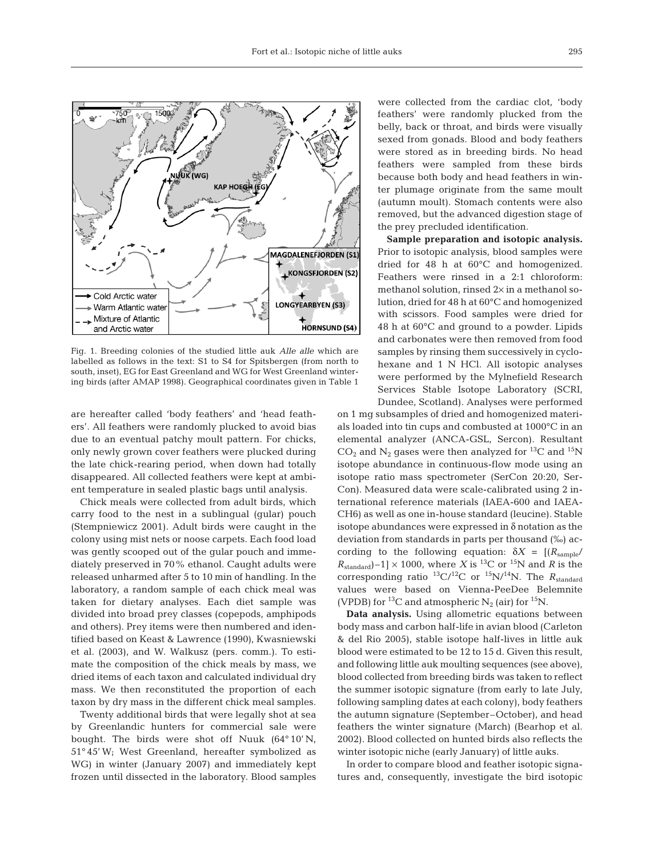

Fig. 1. Breeding colonies of the studied little auk *Alle alle* which are labelled as follows in the text: S1 to S4 for Spitsbergen (from north to south, inset), EG for East Greenland and WG for West Greenland wintering birds (after AMAP 1998). Geographical coordinates given in Table 1

are hereafter called 'body feathers' and 'head feathers'. All feathers were randomly plucked to avoid bias due to an eventual patchy moult pattern. For chicks, only newly grown cover feathers were plucked during the late chick-rearing period, when down had totally disappeared. All collected feathers were kept at ambient temperature in sealed plastic bags until analysis.

Chick meals were collected from adult birds, which carry food to the nest in a sublingual (gular) pouch (Stempniewicz 2001). Adult birds were caught in the colony using mist nets or noose carpets. Each food load was gently scooped out of the gular pouch and immediately preserved in 70% ethanol. Caught adults were released unharmed after 5 to 10 min of handling. In the laboratory, a random sample of each chick meal was taken for dietary analyses. Each diet sample was divided into broad prey classes (copepods, amphipods and others). Prey items were then numbered and identified based on Keast & Lawrence (1990), Kwasniewski et al. (2003), and W. Walkusz (pers. comm.). To estimate the composition of the chick meals by mass, we dried items of each taxon and calculated individual dry mass. We then reconstituted the proportion of each taxon by dry mass in the different chick meal samples.

Twenty additional birds that were legally shot at sea by Greenlandic hunters for commercial sale were bought. The birds were shot off Nuuk (64° 10' N, 51° 45' W; West Greenland, hereafter symbolized as WG) in winter (January 2007) and immediately kept frozen until dissected in the laboratory. Blood samples were collected from the cardiac clot, 'body feathers' were randomly plucked from the belly, back or throat, and birds were visually sexed from gonads. Blood and body feathers were stored as in breeding birds. No head feathers were sampled from these birds because both body and head feathers in winter plumage originate from the same moult (autumn moult). Stomach contents were also removed, but the advanced digestion stage of the prey precluded identification.

**Sample preparation and isotopic analysis.** Prior to isotopic analysis, blood samples were dried for 48 h at 60°C and homogenized. Feathers were rinsed in a 2:1 chloroform: methanol solution, rinsed 2× in a methanol solution, dried for 48 h at 60°C and homogenized with scissors. Food samples were dried for 48 h at 60°C and ground to a powder. Lipids and carbonates were then removed from food samples by rinsing them successively in cyclohexane and 1 N HCl. All isotopic analyses were performed by the Mylnefield Research Services Stable Isotope Laboratory (SCRI, Dundee, Scotland). Analyses were performed

on 1 mg subsamples of dried and homogenized materials loaded into tin cups and combusted at 1000°C in an elemental analyzer (ANCA-GSL, Sercon). Resultant  $CO<sub>2</sub>$  and N<sub>2</sub> gases were then analyzed for <sup>13</sup>C and <sup>15</sup>N isotope abundance in continuous-flow mode using an isotope ratio mass spectrometer (SerCon 20:20, Ser-Con). Measured data were scale-calibrated using 2 international reference materials (IAEA-600 and IAEA-CH6) as well as one in-house standard (leucine). Stable isotope abundances were expressed in  $\delta$  notation as the deviation from standards in parts per thousand (‰) according to the following equation:  $\delta X = \frac{R_{\text{sample}}}{\delta X}$  $R_{standard}$ –1] × 1000, where *X* is <sup>13</sup>C or <sup>15</sup>N and *R* is the corresponding ratio <sup>13</sup>C/<sup>12</sup>C or <sup>15</sup>N/<sup>14</sup>N. The *R*<sub>standard</sub> values were based on Vienna-PeeDee Belemnite (VPDB) for <sup>13</sup>C and atmospheric N<sub>2</sub> (air) for <sup>15</sup>N.

**Data analysis.** Using allometric equations between body mass and carbon half-life in avian blood (Carleton & del Rio 2005), stable isotope half-lives in little auk blood were estimated to be 12 to 15 d. Given this result, and following little auk moulting sequences (see above), blood collected from breeding birds was taken to reflect the summer isotopic signature (from early to late July, following sampling dates at each colony), body feathers the autumn signature (September–October), and head feathers the winter signature (March) (Bearhop et al. 2002). Blood collected on hunted birds also reflects the winter isotopic niche (early January) of little auks.

In order to compare blood and feather isotopic signatures and, consequently, investigate the bird isotopic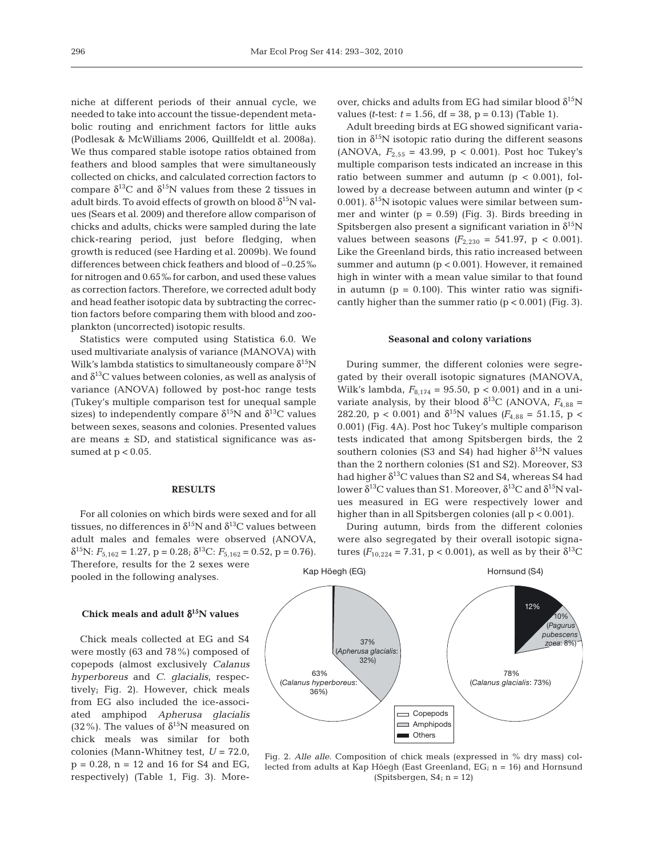niche at different periods of their annual cycle, we needed to take into account the tissue-dependent metabolic routing and enrichment factors for little auks (Podlesak & McWilliams 2006, Quillfeldt et al. 2008a). We thus compared stable isotope ratios obtained from feathers and blood samples that were simultaneously collected on chicks, and calculated correction factors to compare  $\delta^{13}C$  and  $\delta^{15}N$  values from these 2 tissues in adult birds. To avoid effects of growth on blood  $\delta^{15}N$  values (Sears et al. 2009) and therefore allow comparison of chicks and adults, chicks were sampled during the late chick-rearing period, just before fledging, when growth is reduced (see Harding et al. 2009b). We found differences between chick feathers and blood of –0.25‰ for nitrogen and 0.65‰ for carbon, and used these values as correction factors. Therefore, we corrected adult body and head feather isotopic data by subtracting the correction factors before comparing them with blood and zooplankton (uncorrected) isotopic results.

Statistics were computed using Statistica 6.0. We used multivariate analysis of variance (MANOVA) with Wilk's lambda statistics to simultaneously compare  $\delta^{15}N$ and  $\delta^{13}$ C values between colonies, as well as analysis of variance (ANOVA) followed by post-hoc range tests (Tukey's multiple comparison test for unequal sample sizes) to independently compare  $\delta^{15}N$  and  $\delta^{13}C$  values between sexes, seasons and colonies. Presented values are means  $\pm$  SD, and statistical significance was assumed at  $p < 0.05$ .

#### **RESULTS**

For all colonies on which birds were sexed and for all tissues, no differences in  $\delta^{15}N$  and  $\delta^{13}C$  values between adult males and females were observed (ANOVA,  $δ<sup>15</sup>N: F<sub>5,162</sub> = 1.27, p = 0.28; δ<sup>13</sup>C: F<sub>5,162</sub> = 0.52, p = 0.76$ . Therefore, results for the 2 sexes were pooled in the following analyses.

# **Chick meals and adult** δ**15N values**

Chick meals collected at EG and S4 were mostly (63 and 78%) composed of copepods (almost exclusively *Calanus hyperboreus* and *C. glacialis*, respectively; Fig. 2). However, chick meals from EG also included the ice-associated amphipod *Apherusa glacialis* (32%). The values of  $\delta^{15}N$  measured on chick meals was similar for both colonies (Mann-Whitney test, *U* = 72.0,  $p = 0.28$ ,  $n = 12$  and 16 for S4 and EG, respectively) (Table 1, Fig. 3). Moreover, chicks and adults from EG had similar blood  $\delta^{15}N$ values *(t*-test:  $t = 1.56$ ,  $df = 38$ ,  $p = 0.13$ ) *(Table 1)*.

Adult breeding birds at EG showed significant variation in  $\delta^{15}N$  isotopic ratio during the different seasons (ANOVA,  $F_{2.55}$  = 43.99, p < 0.001). Post hoc Tukey's multiple comparison tests indicated an increase in this ratio between summer and autumn ( $p < 0.001$ ), followed by a decrease between autumn and winter (p < 0.001).  $\delta^{15}$ N isotopic values were similar between summer and winter  $(p = 0.59)$  (Fig. 3). Birds breeding in Spitsbergen also present a significant variation in  $\delta^{15}N$ values between seasons  $(F_{2,230} = 541.97, p < 0.001)$ . Like the Greenland birds, this ratio increased between summer and autumn (p < 0.001). However, it remained high in winter with a mean value similar to that found in autumn ( $p = 0.100$ ). This winter ratio was significantly higher than the summer ratio  $(p < 0.001)$  (Fig. 3).

#### **Seasonal and colony variations**

During summer, the different colonies were segregated by their overall isotopic signatures (MANOVA, Wilk's lambda,  $F_{8,174} = 95.50$ , p < 0.001) and in a univariate analysis, by their blood  $\delta^{13}$ C (ANOVA,  $F_{4,88}$  = 282.20, p < 0.001) and  $\delta^{15}N$  values ( $F_{4,88} = 51.15$ , p < 0.001) (Fig. 4A). Post hoc Tukey's multiple comparison tests indicated that among Spitsbergen birds, the 2 southern colonies (S3 and S4) had higher  $\delta^{15}N$  values than the 2 northern colonies (S1 and S2). Moreover, S3 had higher  $\delta^{13}$ C values than S2 and S4, whereas S4 had lower  $\delta^{13}$ C values than S1. Moreover,  $\delta^{13}$ C and  $\delta^{15}$ N values measured in EG were respectively lower and higher than in all Spitsbergen colonies (all  $p < 0.001$ ).

During autumn, birds from the different colonies were also segregated by their overall isotopic signatures  $(F_{10,224} = 7.31, p < 0.001)$ , as well as by their δ<sup>13</sup>C



Fig. 2. *Alle alle*. Composition of chick meals (expressed in % dry mass) collected from adults at Kap Höegh (East Greenland, EG; n = 16) and Hornsund (Spitsbergen,  $S4$ ; n = 12)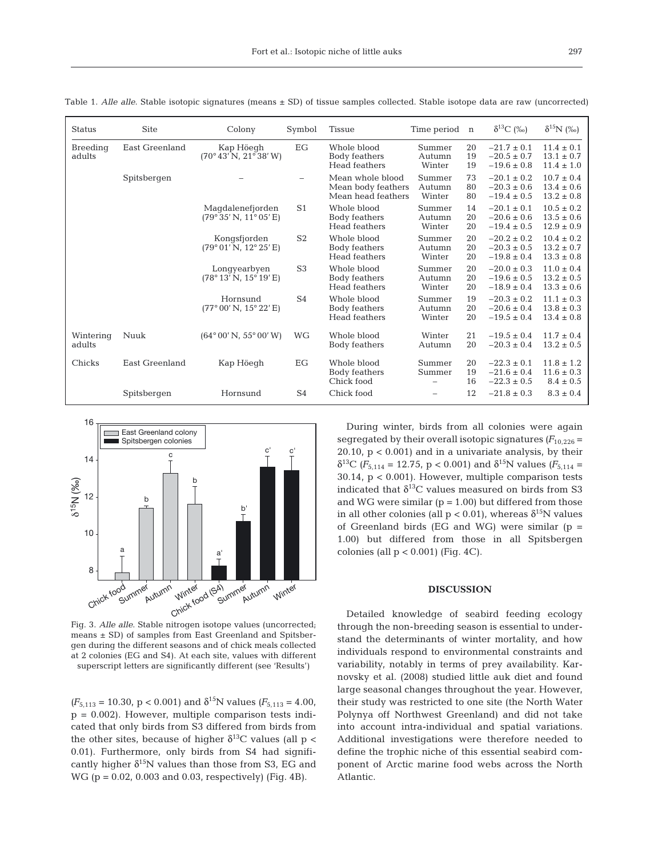| <b>Status</b>       | <b>Site</b>    | Colony                                            | Symbol         | <b>Tissue</b>                                                | Time period n              |                | $\delta^{13}C$ (%)                                    | $\delta^{15}N$ (%)                                 |
|---------------------|----------------|---------------------------------------------------|----------------|--------------------------------------------------------------|----------------------------|----------------|-------------------------------------------------------|----------------------------------------------------|
| Breeding<br>adults  | East Greenland | Kap Höegh<br>$(70^{\circ}43' N, 21^{\circ}38' W)$ | EG             | Whole blood<br>Body feathers<br>Head feathers                | Summer<br>Autumn<br>Winter | 20<br>19<br>19 | $-21.7 \pm 0.1$<br>$-20.5 \pm 0.7$<br>$-19.6 \pm 0.8$ | $11.4 \pm 0.1$<br>$13.1 \pm 0.7$<br>$11.4 \pm 1.0$ |
|                     | Spitsbergen    |                                                   |                | Mean whole blood<br>Mean body feathers<br>Mean head feathers | Summer<br>Autumn<br>Winter | 73<br>80<br>80 | $-20.1 \pm 0.2$<br>$-20.3 \pm 0.6$<br>$-19.4 \pm 0.5$ | $10.7 \pm 0.4$<br>$13.4 \pm 0.6$<br>$13.2 \pm 0.8$ |
|                     |                | Magdalenefjorden<br>(79°35' N, 11°05' E)          | S <sub>1</sub> | Whole blood<br>Body feathers<br>Head feathers                | Summer<br>Autumn<br>Winter | 14<br>20<br>20 | $-20.1 \pm 0.1$<br>$-20.6 \pm 0.6$<br>$-19.4 \pm 0.5$ | $10.5 \pm 0.2$<br>$13.5 \pm 0.6$<br>$12.9 \pm 0.9$ |
|                     |                | Kongsfjorden<br>(79°01' N, 12°25' E)              | S <sub>2</sub> | Whole blood<br>Body feathers<br>Head feathers                | Summer<br>Autumn<br>Winter | 20<br>20<br>20 | $-20.2 \pm 0.2$<br>$-20.3 \pm 0.5$<br>$-19.8 \pm 0.4$ | $10.4 \pm 0.2$<br>$13.2 \pm 0.7$<br>$13.3 \pm 0.8$ |
|                     |                | Longyearbyen<br>(78°13' N, 15°19' E)              | S <sub>3</sub> | Whole blood<br>Body feathers<br>Head feathers                | Summer<br>Autumn<br>Winter | 20<br>20<br>20 | $-20.0 \pm 0.3$<br>$-19.6 \pm 0.5$<br>$-18.9 \pm 0.4$ | $11.0 \pm 0.4$<br>$13.2 \pm 0.5$<br>$13.3 \pm 0.6$ |
|                     |                | Hornsund<br>(77°00' N, 15°22' E)                  | S <sub>4</sub> | Whole blood<br>Body feathers<br>Head feathers                | Summer<br>Autumn<br>Winter | 19<br>20<br>20 | $-20.3 \pm 0.2$<br>$-20.6 \pm 0.4$<br>$-19.5 \pm 0.4$ | $11.1 \pm 0.3$<br>$13.8 \pm 0.3$<br>$13.4 \pm 0.8$ |
| Wintering<br>adults | Nuuk           | (64°00' N, 55°00' W)                              | WG             | Whole blood<br>Body feathers                                 | Winter<br>Autumn           | 21<br>20       | $-19.5 \pm 0.4$<br>$-20.3 \pm 0.4$                    | $11.7 \pm 0.4$<br>$13.2 \pm 0.5$                   |
| Chicks              | East Greenland | Kap Höegh                                         | EG             | Whole blood<br>Body feathers<br>Chick food                   | Summer<br>Summer           | 20<br>19<br>16 | $-22.3 \pm 0.1$<br>$-21.6 \pm 0.4$<br>$-22.3 \pm 0.5$ | $11.8 \pm 1.2$<br>$11.6 \pm 0.3$<br>$8.4 \pm 0.5$  |
|                     | Spitsbergen    | Hornsund                                          | S <sub>4</sub> | Chick food                                                   |                            | 12             | $-21.8 \pm 0.3$                                       | $8.3 \pm 0.4$                                      |

Table 1. *Alle alle*. Stable isotopic signatures (means ± SD) of tissue samples collected. Stable isotope data are raw (uncorrected)



Fig. 3. *Alle alle*. Stable nitrogen isotope values (uncorrected; means ± SD) of samples from East Greenland and Spitsbergen during the different seasons and of chick meals collected at 2 colonies (EG and S4). At each site, values with different superscript letters are significantly different (see 'Results')

 $(F_{5,113} = 10.30, p < 0.001)$  and  $\delta^{15}N$  values  $(F_{5,113} = 4.00,$  $p = 0.002$ ). However, multiple comparison tests indicated that only birds from S3 differed from birds from the other sites, because of higher  $\delta^{13}$ C values (all p < 0.01). Furthermore, only birds from S4 had significantly higher  $\delta^{15}N$  values than those from S3, EG and WG (p = 0.02, 0.003 and 0.03, respectively) (Fig. 4B).

During winter, birds from all colonies were again segregated by their overall isotopic signatures  $(F_{10,226} =$ 20.10, p < 0.001) and in a univariate analysis, by their  $δ<sup>13</sup>C$  *(F<sub>5,114</sub>* = 12.75, p < 0.001) and  $δ<sup>15</sup>N$  values *(F<sub>5,114</sub>* = 30.14,  $p < 0.001$ ). However, multiple comparison tests indicated that  $\delta^{13}$ C values measured on birds from S3 and WG were similar  $(p = 1.00)$  but differed from those in all other colonies (all  $p < 0.01$ ), whereas  $\delta^{15}N$  values of Greenland birds (EG and WG) were similar ( $p =$ 1.00) but differed from those in all Spitsbergen colonies (all  $p < 0.001$ ) (Fig. 4C).

#### **DISCUSSION**

Detailed knowledge of seabird feeding ecology through the non-breeding season is essential to understand the determinants of winter mortality, and how individuals respond to environmental constraints and variability, notably in terms of prey availability. Karnovsky et al. (2008) studied little auk diet and found large seasonal changes throughout the year. However, their study was restricted to one site (the North Water Polynya off Northwest Greenland) and did not take into account intra-individual and spatial variations. Additional investigations were therefore needed to define the trophic niche of this essential seabird component of Arctic marine food webs across the North Atlantic.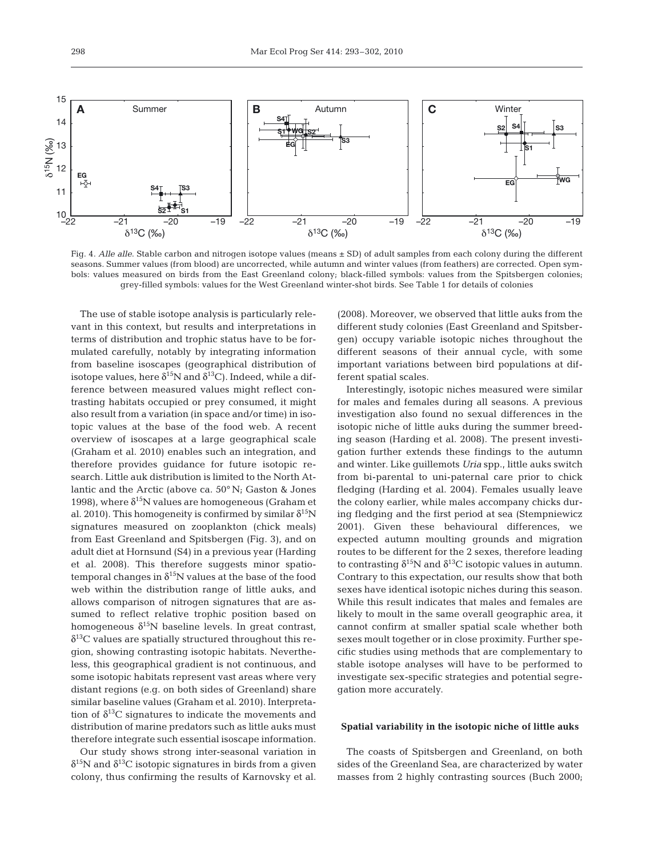

Fig. 4. Alle alle. Stable carbon and nitrogen isotope values (means  $\pm$  SD) of adult samples from each colony during the different seasons. Summer values (from blood) are uncorrected, while autumn and winter values (from feathers) are corrected. Open symbols: values measured on birds from the East Greenland colony; black-filled symbols: values from the Spitsbergen colonies; grey-filled symbols: values for the West Greenland winter-shot birds. See Table 1 for details of colonies

The use of stable isotope analysis is particularly relevant in this context, but results and interpretations in terms of distribution and trophic status have to be formulated carefully, notably by integrating information from baseline isoscapes (geographical distribution of isotope values, here  $\delta^{15}N$  and  $\delta^{13}C$ ). Indeed, while a difference between measured values might reflect contrasting habitats occupied or prey consumed, it might also result from a variation (in space and/or time) in isotopic values at the base of the food web. A recent overview of isoscapes at a large geographical scale (Graham et al. 2010) enables such an integration, and therefore provides guidance for future isotopic research. Little auk distribution is limited to the North Atlantic and the Arctic (above ca. 50° N; Gaston & Jones 1998), where  $\delta^{15}N$  values are homogeneous (Graham et al. 2010). This homogeneity is confirmed by similar  $\delta^{15}N$ signatures measured on zooplankton (chick meals) from East Greenland and Spitsbergen (Fig. 3), and on adult diet at Hornsund (S4) in a previous year (Harding et al. 2008). This therefore suggests minor spatiotemporal changes in  $\delta^{15}N$  values at the base of the food web within the distribution range of little auks, and allows comparison of nitrogen signatures that are assumed to reflect relative trophic position based on homogeneous  $\delta^{15}N$  baseline levels. In great contrast,  $\delta^{13}$ C values are spatially structured throughout this region, showing contrasting isotopic habitats. Nevertheless, this geographical gradient is not continuous, and some isotopic habitats represent vast areas where very distant regions (e.g. on both sides of Greenland) share similar baseline values (Graham et al. 2010). Interpretation of  $\delta^{13}$ C signatures to indicate the movements and distribution of marine predators such as little auks must therefore integrate such essential isoscape information.

Our study shows strong inter-seasonal variation in  $\delta^{15}$ N and  $\delta^{13}$ C isotopic signatures in birds from a given colony, thus confirming the results of Karnovsky et al.

(2008). Moreover, we observed that little auks from the different study colonies (East Greenland and Spitsbergen) occupy variable isotopic niches throughout the different seasons of their annual cycle, with some important variations between bird populations at different spatial scales.

Interestingly, isotopic niches measured were similar for males and females during all seasons. A previous investigation also found no sexual differences in the isotopic niche of little auks during the summer breeding season (Harding et al. 2008). The present investigation further extends these findings to the autumn and winter. Like guillemots *Uria* spp., little auks switch from bi-parental to uni-paternal care prior to chick fledging (Harding et al. 2004). Females usually leave the colony earlier, while males accompany chicks during fledging and the first period at sea (Stempniewicz 2001). Given these behavioural differences, we expected autumn moulting grounds and migration routes to be different for the 2 sexes, therefore leading to contrasting  $\delta^{15}N$  and  $\delta^{13}C$  isotopic values in autumn. Contrary to this expectation, our results show that both sexes have identical isotopic niches during this season. While this result indicates that males and females are likely to moult in the same overall geographic area, it cannot confirm at smaller spatial scale whether both sexes moult together or in close proximity. Further specific studies using methods that are complementary to stable isotope analyses will have to be performed to investigate sex-specific strategies and potential segregation more accurately.

#### **Spatial variability in the isotopic niche of little auks**

The coasts of Spitsbergen and Greenland, on both sides of the Greenland Sea, are characterized by water masses from 2 highly contrasting sources (Buch 2000;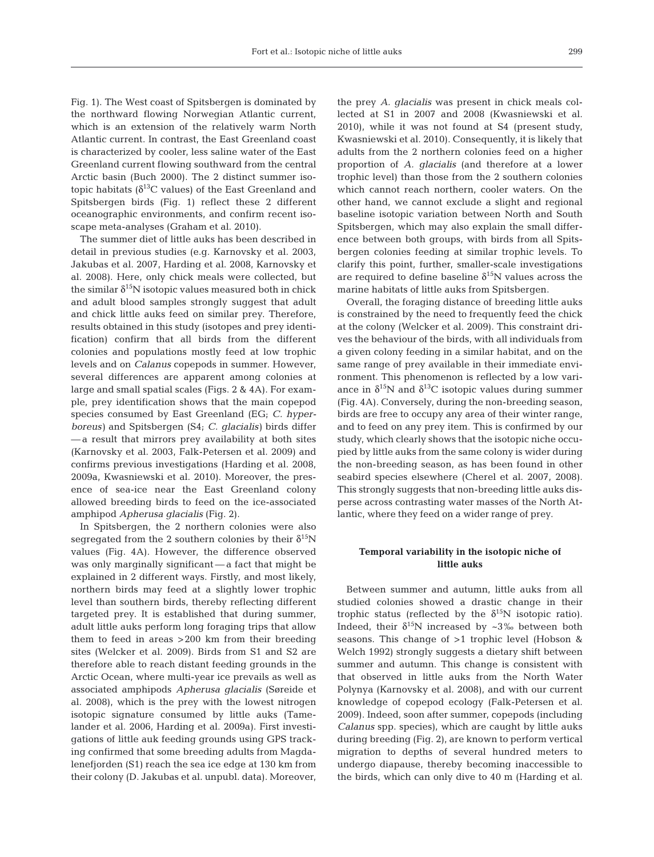Fig. 1). The West coast of Spitsbergen is dominated by the northward flowing Norwegian Atlantic current, which is an extension of the relatively warm North Atlantic current. In contrast, the East Greenland coast is characterized by cooler, less saline water of the East Greenland current flowing southward from the central Arctic basin (Buch 2000). The 2 distinct summer isotopic habitats ( $\delta^{13}$ C values) of the East Greenland and Spitsbergen birds (Fig. 1) reflect these 2 different oceanographic environments, and confirm recent isoscape meta-analyses (Graham et al. 2010).

The summer diet of little auks has been described in detail in previous studies (e.g. Karnovsky et al. 2003, Jakubas et al. 2007, Harding et al. 2008, Karnovsky et al. 2008). Here, only chick meals were collected, but the similar  $\delta^{15}N$  isotopic values measured both in chick and adult blood samples strongly suggest that adult and chick little auks feed on similar prey. Therefore, results obtained in this study (isotopes and prey identification) confirm that all birds from the different colonies and populations mostly feed at low trophic levels and on *Calanus* copepods in summer. However, several differences are apparent among colonies at large and small spatial scales (Figs. 2 & 4A). For example, prey identification shows that the main copepod species consumed by East Greenland (EG; *C. hyperboreus)* and Spitsbergen (S4; *C. glacialis)* birds differ — a result that mirrors prey availability at both sites (Karnovsky et al. 2003, Falk-Petersen et al. 2009) and confirms previous investigations (Harding et al. 2008, 2009a, Kwasniewski et al. 2010). Moreover, the presence of sea-ice near the East Greenland colony allowed breeding birds to feed on the ice-associated amphipod *Apherusa glacialis* (Fig. 2).

In Spitsbergen, the 2 northern colonies were also segregated from the 2 southern colonies by their  $\delta^{15}N$ values (Fig. 4A). However, the difference observed was only marginally significant — a fact that might be explained in 2 different ways. Firstly, and most likely, northern birds may feed at a slightly lower trophic level than southern birds, thereby reflecting different targeted prey. It is established that during summer, adult little auks perform long foraging trips that allow them to feed in areas >200 km from their breeding sites (Welcker et al. 2009). Birds from S1 and S2 are therefore able to reach distant feeding grounds in the Arctic Ocean, where multi-year ice prevails as well as associated amphipods *Apherusa glacialis* (Søreide et al. 2008), which is the prey with the lowest nitrogen isotopic signature consumed by little auks (Tamelander et al. 2006, Harding et al. 2009a). First investigations of little auk feeding grounds using GPS tracking confirmed that some breeding adults from Magdalenefjorden (S1) reach the sea ice edge at 130 km from their colony (D. Jakubas et al. unpubl. data). Moreover, the prey *A. glacialis* was present in chick meals collected at S1 in 2007 and 2008 (Kwasniewski et al. 2010), while it was not found at S4 (present study, Kwasniewski et al. 2010). Consequently, it is likely that adults from the 2 northern colonies feed on a higher proportion of *A. glacialis* (and therefore at a lower trophic level) than those from the 2 southern colonies which cannot reach northern, cooler waters. On the other hand, we cannot exclude a slight and regional baseline isotopic variation between North and South Spitsbergen, which may also explain the small difference between both groups, with birds from all Spitsbergen colonies feeding at similar trophic levels. To clarify this point, further, smaller-scale investigations are required to define baseline  $\delta^{15}N$  values across the marine habitats of little auks from Spitsbergen.

Overall, the foraging distance of breeding little auks is constrained by the need to frequently feed the chick at the colony (Welcker et al. 2009). This constraint drives the behaviour of the birds, with all individuals from a given colony feeding in a similar habitat, and on the same range of prey available in their immediate environment. This phenomenon is reflected by a low variance in  $\delta^{15}N$  and  $\delta^{13}C$  isotopic values during summer (Fig. 4A). Conversely, during the non-breeding season, birds are free to occupy any area of their winter range, and to feed on any prey item. This is confirmed by our study, which clearly shows that the isotopic niche occupied by little auks from the same colony is wider during the non-breeding season, as has been found in other seabird species elsewhere (Cherel et al. 2007, 2008). This strongly suggests that non-breeding little auks disperse across contrasting water masses of the North Atlantic, where they feed on a wider range of prey.

### **Temporal variability in the isotopic niche of little auks**

Between summer and autumn, little auks from all studied colonies showed a drastic change in their trophic status (reflected by the  $\delta^{15}N$  isotopic ratio). Indeed, their  $\delta^{15}N$  increased by ~3‰ between both seasons. This change of >1 trophic level (Hobson & Welch 1992) strongly suggests a dietary shift between summer and autumn. This change is consistent with that observed in little auks from the North Water Polynya (Karnovsky et al. 2008), and with our current knowledge of copepod ecology (Falk-Petersen et al. 2009). Indeed, soon after summer, copepods (including *Calanus* spp. species), which are caught by little auks during breeding (Fig. 2), are known to perform vertical migration to depths of several hundred meters to undergo diapause, thereby becoming inaccessible to the birds, which can only dive to 40 m (Harding et al.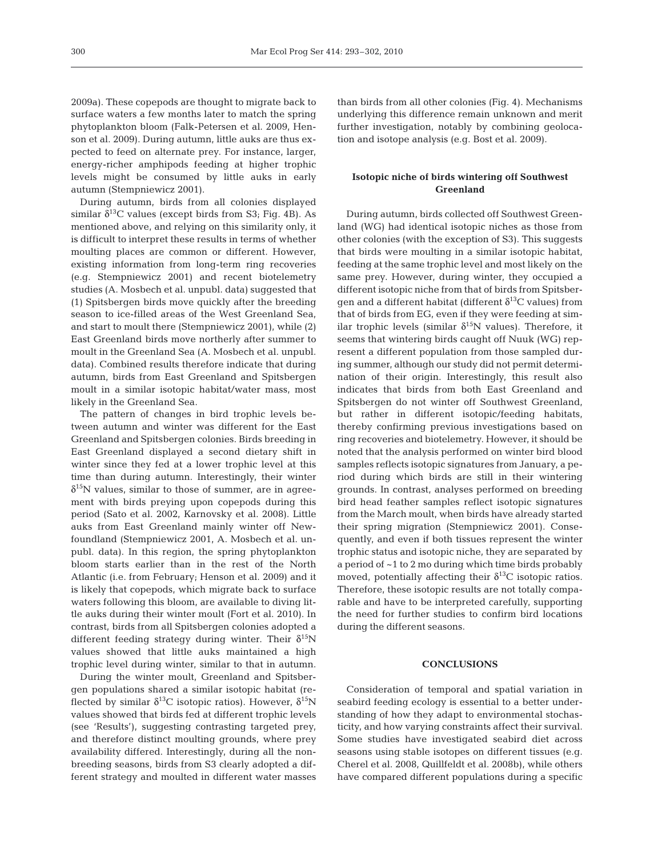2009a). These copepods are thought to migrate back to surface waters a few months later to match the spring phytoplankton bloom (Falk-Petersen et al. 2009, Henson et al. 2009). During autumn, little auks are thus expected to feed on alternate prey. For instance, larger, energy-richer amphipods feeding at higher trophic levels might be consumed by little auks in early autumn (Stempniewicz 2001).

During autumn, birds from all colonies displayed similar  $\delta^{13}$ C values (except birds from S3; Fig. 4B). As mentioned above, and relying on this similarity only, it is difficult to interpret these results in terms of whether moulting places are common or different. However, existing information from long-term ring recoveries (e.g. Stempniewicz 2001) and recent biotelemetry studies (A. Mosbech et al. unpubl. data) suggested that (1) Spitsbergen birds move quickly after the breeding season to ice-filled areas of the West Greenland Sea, and start to moult there (Stempniewicz 2001), while (2) East Greenland birds move northerly after summer to moult in the Greenland Sea (A. Mosbech et al. unpubl. data). Combined results therefore indicate that during autumn, birds from East Greenland and Spitsbergen moult in a similar isotopic habitat/water mass, most likely in the Greenland Sea.

The pattern of changes in bird trophic levels between autumn and winter was different for the East Greenland and Spitsbergen colonies. Birds breeding in East Greenland displayed a second dietary shift in winter since they fed at a lower trophic level at this time than during autumn. Interestingly, their winter  $\delta^{15}$ N values, similar to those of summer, are in agreement with birds preying upon copepods during this period (Sato et al. 2002, Karnovsky et al. 2008). Little auks from East Greenland mainly winter off Newfoundland (Stempniewicz 2001, A. Mosbech et al. unpubl. data). In this region, the spring phytoplankton bloom starts earlier than in the rest of the North Atlantic (i.e. from February; Henson et al. 2009) and it is likely that copepods, which migrate back to surface waters following this bloom, are available to diving little auks during their winter moult (Fort et al. 2010). In contrast, birds from all Spitsbergen colonies adopted a different feeding strategy during winter. Their  $\delta^{15}N$ values showed that little auks maintained a high trophic level during winter, similar to that in autumn.

During the winter moult, Greenland and Spitsbergen populations shared a similar isotopic habitat (reflected by similar  $\delta^{13}$ C isotopic ratios). However,  $\delta^{15}$ N values showed that birds fed at different trophic levels (see 'Results'), suggesting contrasting targeted prey, and therefore distinct moulting grounds, where prey availability differed. Interestingly, during all the nonbreeding seasons, birds from S3 clearly adopted a different strategy and moulted in different water masses than birds from all other colonies (Fig. 4). Mechanisms underlying this difference remain unknown and merit further investigation, notably by combining geolocation and isotope analysis (e.g. Bost et al. 2009).

# **Isotopic niche of birds wintering off Southwest Greenland**

During autumn, birds collected off Southwest Greenland (WG) had identical isotopic niches as those from other colonies (with the exception of S3). This suggests that birds were moulting in a similar isotopic habitat, feeding at the same trophic level and most likely on the same prey. However, during winter, they occupied a different isotopic niche from that of birds from Spitsbergen and a different habitat (different  $\delta^{13}$ C values) from that of birds from EG, even if they were feeding at similar trophic levels (similar  $\delta^{15}N$  values). Therefore, it seems that wintering birds caught off Nuuk (WG) represent a different population from those sampled during summer, although our study did not permit determination of their origin. Interestingly, this result also indicates that birds from both East Greenland and Spitsbergen do not winter off Southwest Greenland, but rather in different isotopic/feeding habitats, thereby confirming previous investigations based on ring recoveries and biotelemetry. However, it should be noted that the analysis performed on winter bird blood samples reflects isotopic signatures from January, a period during which birds are still in their wintering grounds. In contrast, analyses performed on breeding bird head feather samples reflect isotopic signatures from the March moult, when birds have already started their spring migration (Stempniewicz 2001). Consequently, and even if both tissues represent the winter trophic status and isotopic niche, they are separated by a period of ~1 to 2 mo during which time birds probably moved, potentially affecting their  $\delta^{13}$ C isotopic ratios. Therefore, these isotopic results are not totally comparable and have to be interpreted carefully, supporting the need for further studies to confirm bird locations during the different seasons.

## **CONCLUSIONS**

Consideration of temporal and spatial variation in seabird feeding ecology is essential to a better understanding of how they adapt to environmental stochasticity, and how varying constraints affect their survival. Some studies have investigated seabird diet across seasons using stable isotopes on different tissues (e.g. Cherel et al. 2008, Quillfeldt et al. 2008b), while others have compared different populations during a specific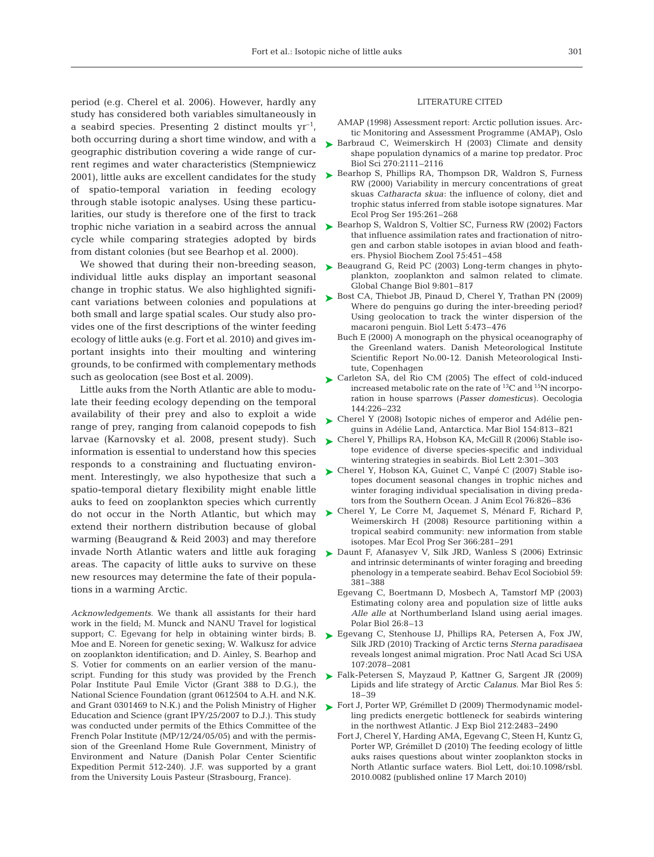period (e.g. Cherel et al. 2006). However, hardly any study has considered both variables simultaneously in a seabird species. Presenting 2 distinct moults  $yr^{-1}$ , both occurring during a short time window, and with a geographic distribution covering a wide range of current regimes and water characteristics (Stempniewicz 2001), little auks are excellent candidates for the study of spatio-temporal variation in feeding ecology through stable isotopic analyses. Using these particularities, our study is therefore one of the first to track cycle while comparing strategies adopted by birds from distant colonies (but see Bearhop et al. 2000).

We showed that during their non-breeding season, individual little auks display an important seasonal change in trophic status. We also highlighted significant variations between colonies and populations at both small and large spatial scales. Our study also provides one of the first descriptions of the winter feeding ecology of little auks (e.g. Fort et al. 2010) and gives important insights into their moulting and wintering grounds, to be confirmed with complementary methods such as geolocation (see Bost et al. 2009).

Little auks from the North Atlantic are able to modulate their feeding ecology depending on the temporal availability of their prey and also to exploit a wide range of prey, ranging from calanoid copepods to fish larvae (Karnovsky et al. 2008, present study). Such information is essential to understand how this species responds to a constraining and fluctuating environment. Interestingly, we also hypothesize that such a spatio-temporal dietary flexibility might enable little auks to feed on zooplankton species which currently do not occur in the North Atlantic, but which may extend their northern distribution because of global warming (Beaugrand & Reid 2003) and may therefore invade North Atlantic waters and little auk foraging areas. The capacity of little auks to survive on these new resources may determine the fate of their populations in a warming Arctic.

*Acknowledgements.* We thank all assistants for their hard work in the field; M. Munck and NANU Travel for logistical support; C. Egevang for help in obtaining winter birds; B. Moe and E. Noreen for genetic sexing; W. Walkusz for advice on zooplankton identification; and D. Ainley, S. Bearhop and S. Votier for comments on an earlier version of the manuscript. Funding for this study was provided by the French Polar Institute Paul Emile Victor (Grant 388 to D.G.), the National Science Foundation (grant 0612504 to A.H. and N.K. Education and Science (grant IPY/25/2007 to D.J.). This study was conducted under permits of the Ethics Committee of the French Polar Institute (MP/12/24/05/05) and with the permission of the Greenland Home Rule Government, Ministry of Environment and Nature (Danish Polar Center Scientific Expedition Permit 512-240). J.F. was supported by a grant from the University Louis Pasteur (Strasbourg, France).

#### LITERATURE CITED

- AMAP (1998) Assessment report: Arctic pollution issues. Arctic Monitoring and Assessment Programme (AMAP), Oslo
- ► Barbraud C, Weimerskirch H (2003) Climate and density shape population dynamics of a marine top predator. Proc Biol Sci 270:2111–2116
- ► Bearhop S, Phillips RA, Thompson DR, Waldron S, Furness RW (2000) Variability in mercury concentrations of great skuas *Catharacta skua*: the influence of colony, diet and trophic status inferred from stable isotope signatures. Mar Ecol Prog Ser 195:261–268
- trophic niche variation in a seabird across the annual  $\triangleright$  Bearhop S, Waldron S, Voltier SC, Furness RW (2002) Factors that influence assimilation rates and fractionation of nitrogen and carbon stable isotopes in avian blood and feathers. Physiol Biochem Zool 75:451–458
	- ► Beaugrand G, Reid PC (2003) Long-term changes in phytoplankton, zooplankton and salmon related to climate. Global Change Biol 9:801–817
	- ► Bost CA, Thiebot JB, Pinaud D, Cherel Y, Trathan PN (2009) Where do penguins go during the inter-breeding period? Using geolocation to track the winter dispersion of the macaroni penguin. Biol Lett 5:473–476
		- Buch E (2000) A monograph on the physical oceanography of the Greenland waters. Danish Meteorological Institute Scientific Report No.00-12. Danish Meteorological Institute, Copenhagen
	- ► Carleton SA, del Rio CM (2005) The effect of cold-induced increased metabolic rate on the rate of 13C and 15N incorporation in house sparrows (*Passer domesticus)*. Oecologia 144:226–232
	- ► Cherel Y (2008) Isotopic niches of emperor and Adélie penguins in Adélie Land, Antarctica. Mar Biol 154:813–821
	- ► Cherel Y, Phillips RA, Hobson KA, McGill R (2006) Stable isotope evidence of diverse species-specific and individual wintering strategies in seabirds. Biol Lett 2:301–303
	- ► Cherel Y, Hobson KA, Guinet C, Vanpé C (2007) Stable isotopes document seasonal changes in trophic niches and winter foraging individual specialisation in diving predators from the Southern Ocean. J Anim Ecol 76:826–836
	- ► Cherel Y, Le Corre M, Jaquemet S, Ménard F, Richard P, Weimerskirch H (2008) Resource partitioning within a tropical seabird community: new information from stable isotopes. Mar Ecol Prog Ser 366:281–291
	- ► Daunt F, Afanasyev V, Silk JRD, Wanless S (2006) Extrinsic and intrinsic determinants of winter foraging and breeding phenology in a temperate seabird. Behav Ecol Sociobiol 59: 381–388
		- Egevang C, Boertmann D, Mosbech A, Tamstorf MP (2003) Estimating colony area and population size of little auks *Alle alle* at Northumberland Island using aerial images. Polar Biol 26:8–13
	- ► Egevang C, Stenhouse IJ, Phillips RA, Petersen A, Fox JW, Silk JRD (2010) Tracking of Arctic terns *Sterna paradisaea* reveals longest animal migration. Proc Natl Acad Sci USA 107:2078–2081
	- ► Falk-Petersen S, Mayzaud P, Kattner G, Sargent JR (2009) Lipids and life strategy of Arctic *Calanus*. Mar Biol Res 5: 18–39
- and Grant 0301469 to N.K.) and the Polish Ministry of Higher  $\triangleright$  Fort J, Porter WP, Grémillet D (2009) Thermodynamic modelling predicts energetic bottleneck for seabirds wintering in the northwest Atlantic. J Exp Biol 212:2483–2490
	- Fort J, Cherel Y, Harding AMA, Egevang C, Steen H, Kuntz G, Porter WP, Grémillet D (2010) The feeding ecology of little auks raises questions about winter zooplankton stocks in North Atlantic surface waters. Biol Lett, doi:10.1098/rsbl. 2010.0082 (published online 17 March 2010)